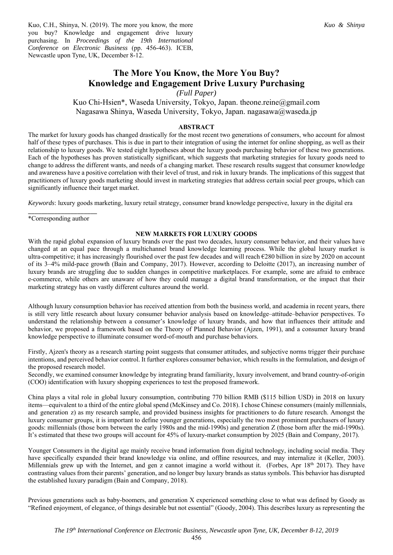Kuo, C.H., Shinya, N. (2019). The more you know, the more you buy? Knowledge and engagement drive luxury purchasing. In *Proceedings of the 19th International Conference on Electronic Business* (pp. 456-463). ICEB, Newcastle upon Tyne, UK, December 8-12.

# **The More You Know, the More You Buy? Knowledge and Engagement Drive Luxury Purchasing**

*(Full Paper)* 

Kuo Chi-Hsien\*, Waseda University, Tokyo, Japan. theone.reine@gmail.com Nagasawa Shinya, Waseda University, Tokyo, Japan. nagasawa@waseda.jp

# **ABSTRACT**

The market for luxury goods has changed drastically for the most recent two generations of consumers, who account for almost half of these types of purchases. This is due in part to their integration of using the internet for online shopping, as well as their relationship to luxury goods. We tested eight hypotheses about the luxury goods purchasing behavior of these two generations. Each of the hypotheses has proven statistically significant, which suggests that marketing strategies for luxury goods need to change to address the different wants, and needs of a changing market. These research results suggest that consumer knowledge and awareness have a positive correlation with their level of trust, and risk in luxury brands. The implications of this suggest that practitioners of luxury goods marketing should invest in marketing strategies that address certain social peer groups, which can significantly influence their target market.

*Keywords*: luxury goods marketing, luxury retail strategy, consumer brand knowledge perspective, luxury in the digital era

\_\_\_\_\_\_\_\_\_\_\_\_\_\_\_\_\_\_\_\_\_ \*Corresponding author

# **NEW MARKETS FOR LUXURY GOODS**

With the rapid global expansion of luxury brands over the past two decades, luxury consumer behavior, and their values have changed at an equal pace through a multichannel brand knowledge learning process. While the global luxury market is ultra-competitive; it has increasingly flourished over the past few decades and will reach  $\epsilon$ 280 billion in size by 2020 on account of its 3–4% mild-pace growth (Bain and Company, 2017). However, according to Deloitte (2017), an increasing number of luxury brands are struggling due to sudden changes in competitive marketplaces. For example, some are afraid to embrace e-commerce, while others are unaware of how they could manage a digital brand transformation, or the impact that their marketing strategy has on vastly different cultures around the world.

Although luxury consumption behavior has received attention from both the business world, and academia in recent years, there is still very little research about luxury consumer behavior analysis based on knowledge–attitude–behavior perspectives. To understand the relationship between a consumer's knowledge of luxury brands, and how that influences their attitude and behavior, we proposed a framework based on the Theory of Planned Behavior (Ajzen, 1991), and a consumer luxury brand knowledge perspective to illuminate consumer word-of-mouth and purchase behaviors.

Firstly, Ajzen's theory as a research starting point suggests that consumer attitudes, and subjective norms trigger their purchase intentions, and perceived behavior control. It further explores consumer behavior, which results in the formulation, and design of the proposed research model.

Secondly, we examined consumer knowledge by integrating brand familiarity, luxury involvement, and brand country-of-origin (COO) identification with luxury shopping experiences to test the proposed framework.

China plays a vital role in global luxury consumption, contributing 770 billion RMB (\$115 billion USD) in 2018 on luxury items—equivalent to a third of the entire global spend (McKinsey and Co. 2018). I chose Chinese consumers (mainly millennials, and generation z) as my research sample, and provided business insights for practitioners to do future research. Amongst the luxury consumer groups, it is important to define younger generations, especially the two most prominent purchasers of luxury goods: millennials (those born between the early 1980s and the mid-1990s) and generation Z (those born after the mid-1990s). It's estimated that these two groups will account for 45% of luxury-market consumption by 2025 (Bain and Company, 2017).

Younger Consumers in the digital age mainly receive brand information from digital technology, including social media. They have specifically expanded their brand knowledge via online, and offline resources, and may internalize it (Keller, 2003). Millennials grew up with the Internet, and gen z cannot imagine a world without it. (Forbes, Apr 18<sup>th</sup> 2017). They have contrasting values from their parents' generation, and no longer buy luxury brands as status symbols. This behavior has disrupted the established luxury paradigm (Bain and Company, 2018).

Previous generations such as baby-boomers, and generation X experienced something close to what was defined by Goody as "Refined enjoyment, of elegance, of things desirable but not essential" (Goody, 2004). This describes luxury as representing the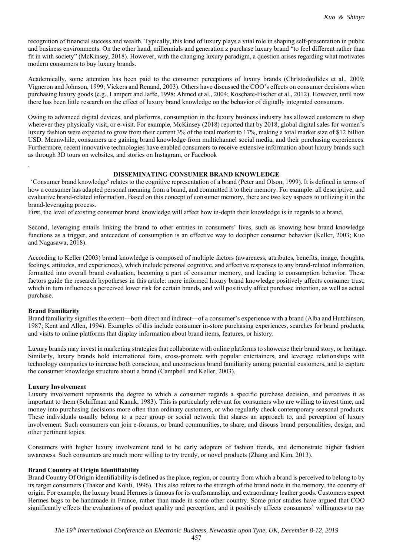recognition of financial success and wealth. Typically, this kind of luxury plays a vital role in shaping self-presentation in public and business environments. On the other hand, millennials and generation z purchase luxury brand "to feel different rather than fit in with society" (McKinsey, 2018). However, with the changing luxury paradigm, a question arises regarding what motivates modern consumers to buy luxury brands.

Academically, some attention has been paid to the consumer perceptions of luxury brands (Christodoulides et al., 2009; Vigneron and Johnson, 1999; Vickers and Renand, 2003). Others have discussed the COO's effects on consumer decisions when purchasing luxury goods (e.g., Lampert and Jaffe, 1998; Ahmed et al., 2004; Koschate-Fischer et al., 2012). However, until now there has been little research on the effect of luxury brand knowledge on the behavior of digitally integrated consumers.

Owing to advanced digital devices, and platforms, consumption in the luxury business industry has allowed customers to shop wherever they physically visit, or e-visit. For example, McKinsey (2018) reported that by 2018, global digital sales for women's luxury fashion were expected to grow from their current 3% of the total market to 17%, making a total market size of \$12 billion USD. Meanwhile, consumers are gaining brand knowledge from multichannel social media, and their purchasing experiences. Furthermore, recent innovative technologies have enabled consumers to receive extensive information about luxury brands such as through 3D tours on websites, and stories on Instagram, or Facebook

# **DISSEMINATING CONSUMER BRAND KNOWLEDGE**

 'Consumer brand knowledge**'** relates to the cognitive representation of a brand (Peter and Olson, 1999). It is defined in terms of how a consumer has adapted personal meaning from a brand, and committed it to their memory. For example: all descriptive, and evaluative brand-related information. Based on this concept of consumer memory, there are two key aspects to utilizing it in the brand-leveraging process.

First, the level of existing consumer brand knowledge will affect how in-depth their knowledge is in regards to a brand.

Second, leveraging entails linking the brand to other entities in consumers' lives, such as knowing how brand knowledge functions as a trigger, and antecedent of consumption is an effective way to decipher consumer behavior (Keller, 2003; Kuo and Nagasawa, 2018).

According to Keller (2003) brand knowledge is composed of multiple factors (awareness, attributes, benefits, image, thoughts, feelings, attitudes, and experiences), which include personal cognitive, and affective responses to any brand-related information, formatted into overall brand evaluation, becoming a part of consumer memory, and leading to consumption behavior. These factors guide the research hypotheses in this article: more informed luxury brand knowledge positively affects consumer trust, which in turn influences a perceived lower risk for certain brands, and will positively affect purchase intention, as well as actual purchase.

# **Brand Familiarity**

.

Brand familiarity signifies the extent—both direct and indirect—of a consumer's experience with a brand (Alba and Hutchinson, 1987; Kent and Allen, 1994). Examples of this include consumer in-store purchasing experiences, searches for brand products, and visits to online platforms that display information about brand items, features, or history.

Luxury brands may invest in marketing strategies that collaborate with online platforms to showcase their brand story, or heritage. Similarly, luxury brands hold international fairs, cross-promote with popular entertainers, and leverage relationships with technology companies to increase both conscious, and unconscious brand familiarity among potential customers, and to capture the consumer knowledge structure about a brand (Campbell and Keller, 2003).

# **Luxury Involvement**

Luxury involvement represents the degree to which a consumer regards a specific purchase decision, and perceives it as important to them (Schiffman and Kanuk, 1983). This is particularly relevant for consumers who are willing to invest time, and money into purchasing decisions more often than ordinary customers, or who regularly check contemporary seasonal products. These individuals usually belong to a peer group or social network that shares an approach to, and perception of luxury involvement. Such consumers can join e-forums, or brand communities, to share, and discuss brand personalities, design, and other pertinent topics.

Consumers with higher luxury involvement tend to be early adopters of fashion trends, and demonstrate higher fashion awareness. Such consumers are much more willing to try trendy, or novel products (Zhang and Kim, 2013).

# **Brand Country of Origin Identifiability**

Brand Country Of Origin identifiability is defined as the place, region, or country from which a brand is perceived to belong to by its target consumers (Thakor and Kohli, 1996). This also refers to the strength of the brand node in the memory, the country of origin. For example, the luxury brand Hermes is famous for its craftsmanship, and extraordinary leather goods. Customers expect Hermes bags to be handmade in France, rather than made in some other country. Some prior studies have argued that COO significantly effects the evaluations of product quality and perception, and it positively affects consumers' willingness to pay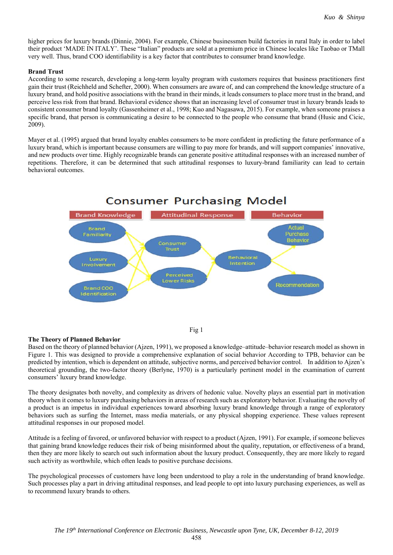higher prices for luxury brands (Dinnie, 2004). For example, Chinese businessmen build factories in rural Italy in order to label their product 'MADE IN ITALY'. These "Italian" products are sold at a premium price in Chinese locales like Taobao or TMall very well. Thus, brand COO identifiability is a key factor that contributes to consumer brand knowledge.

## **Brand Trust**

According to some research, developing a long-term loyalty program with customers requires that business practitioners first gain their trust (Reichheld and Schefter, 2000). When consumers are aware of, and can comprehend the knowledge structure of a luxury brand, and hold positive associations with the brand in their minds, it leads consumers to place more trust in the brand, and perceive less risk from that brand. Behavioral evidence shows that an increasing level of consumer trust in luxury brands leads to consistent consumer brand loyalty (Gassenheimer et al., 1998; Kuo and Nagasawa, 2015). For example, when someone praises a specific brand, that person is communicating a desire to be connected to the people who consume that brand (Husic and Cicic, 2009).

Mayer et al. (1995) argued that brand loyalty enables consumers to be more confident in predicting the future performance of a luxury brand, which is important because consumers are willing to pay more for brands, and will support companies' innovative, and new products over time. Highly recognizable brands can generate positive attitudinal responses with an increased number of repetitions. Therefore, it can be determined that such attitudinal responses to luxury-brand familiarity can lead to certain behavioral outcomes.





# **The Theory of Planned Behavior**

Based on the theory of planned behavior (Ajzen, 1991), we proposed a knowledge–attitude–behavior research model as shown in Figure 1. This was designed to provide a comprehensive explanation of social behavior According to TPB, behavior can be predicted by intention, which is dependent on attitude, subjective norms, and perceived behavior control. In addition to Ajzen's theoretical grounding, the two-factor theory (Berlyne, 1970) is a particularly pertinent model in the examination of current consumers' luxury brand knowledge.

The theory designates both novelty, and complexity as drivers of hedonic value. Novelty plays an essential part in motivation theory when it comes to luxury purchasing behaviors in areas of research such as exploratory behavior. Evaluating the novelty of a product is an impetus in individual experiences toward absorbing luxury brand knowledge through a range of exploratory behaviors such as surfing the Internet, mass media materials, or any physical shopping experience. These values represent attitudinal responses in our proposed model.

Attitude is a feeling of favored, or unfavored behavior with respect to a product (Ajzen, 1991). For example, if someone believes that gaining brand knowledge reduces their risk of being misinformed about the quality, reputation, or effectiveness of a brand, then they are more likely to search out such information about the luxury product. Consequently, they are more likely to regard such activity as worthwhile, which often leads to positive purchase decisions.

The psychological processes of customers have long been understood to play a role in the understanding of brand knowledge. Such processes play a part in driving attitudinal responses, and lead people to opt into luxury purchasing experiences, as well as to recommend luxury brands to others.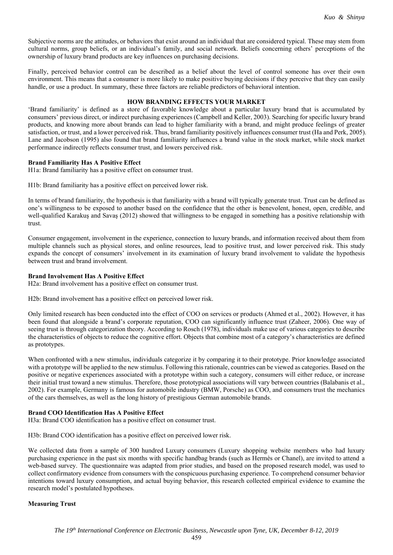Subjective norms are the attitudes, or behaviors that exist around an individual that are considered typical. These may stem from cultural norms, group beliefs, or an individual's family, and social network. Beliefs concerning others' perceptions of the ownership of luxury brand products are key influences on purchasing decisions.

Finally, perceived behavior control can be described as a belief about the level of control someone has over their own environment. This means that a consumer is more likely to make positive buying decisions if they perceive that they can easily handle, or use a product. In summary, these three factors are reliable predictors of behavioral intention.

# **HOW BRANDING EFFECTS YOUR MARKET**

'Brand familiarity' is defined as a store of favorable knowledge about a particular luxury brand that is accumulated by consumers' previous direct, or indirect purchasing experiences (Campbell and Keller, 2003). Searching for specific luxury brand products, and knowing more about brands can lead to higher familiarity with a brand, and might produce feelings of greater satisfaction, or trust, and a lower perceived risk. Thus, brand familiarity positively influences consumer trust (Ha and Perk, 2005). Lane and Jacobson (1995) also found that brand familiarity influences a brand value in the stock market, while stock market performance indirectly reflects consumer trust, and lowers perceived risk.

# **Brand Familiarity Has A Positive Effect**

H1a: Brand familiarity has a positive effect on consumer trust.

H1b: Brand familiarity has a positive effect on perceived lower risk.

In terms of brand familiarity, the hypothesis is that familiarity with a brand will typically generate trust. Trust can be defined as one's willingness to be exposed to another based on the confidence that the other is benevolent, honest, open, credible, and well-qualified Karakuş and Savaş (2012) showed that willingness to be engaged in something has a positive relationship with trust.

Consumer engagement, involvement in the experience, connection to luxury brands, and information received about them from multiple channels such as physical stores, and online resources, lead to positive trust, and lower perceived risk. This study expands the concept of consumers' involvement in its examination of luxury brand involvement to validate the hypothesis between trust and brand involvement.

# **Brand Involvement Has A Positive Effect**

H2a: Brand involvement has a positive effect on consumer trust.

H2b: Brand involvement has a positive effect on perceived lower risk.

Only limited research has been conducted into the effect of COO on services or products (Ahmed et al., 2002). However, it has been found that alongside a brand's corporate reputation, COO can significantly influence trust (Zaheer, 2006). One way of seeing trust is through categorization theory. According to Rosch (1978), individuals make use of various categories to describe the characteristics of objects to reduce the cognitive effort. Objects that combine most of a category's characteristics are defined as prototypes.

When confronted with a new stimulus, individuals categorize it by comparing it to their prototype. Prior knowledge associated with a prototype will be applied to the new stimulus. Following this rationale, countries can be viewed as categories. Based on the positive or negative experiences associated with a prototype within such a category, consumers will either reduce, or increase their initial trust toward a new stimulus. Therefore, those prototypical associations will vary between countries (Balabanis et al., 2002). For example, Germany is famous for automobile industry (BMW, Porsche) as COO, and consumers trust the mechanics of the cars themselves, as well as the long history of prestigious German automobile brands.

# **Brand COO Identification Has A Positive Effect**

H3a: Brand COO identification has a positive effect on consumer trust.

H3b: Brand COO identification has a positive effect on perceived lower risk.

We collected data from a sample of 300 hundred Luxury consumers (Luxury shopping website members who had luxury purchasing experience in the past six months with specific handbag brands (such as Hermès or Chanel), are invited to attend a web-based survey. The questionnaire was adapted from prior studies, and based on the proposed research model, was used to collect confirmatory evidence from consumers with the conspicuous purchasing experience. To comprehend consumer behavior intentions toward luxury consumption, and actual buying behavior, this research collected empirical evidence to examine the research model's postulated hypotheses.

# **Measuring Trust**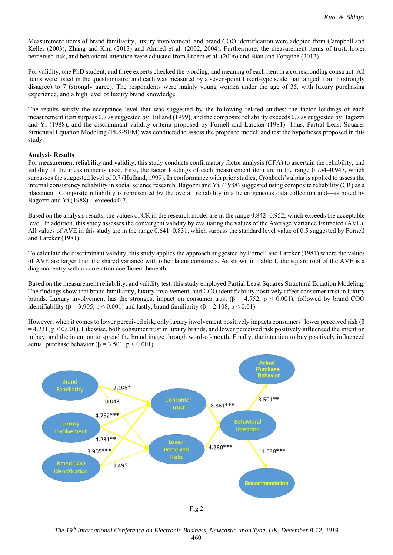Measurement items of brand familiarity, luxury involvement, and brand COO identification were adopted from Campbell and Keller (2003), Zhang and Kim (2013) and Ahmed et al. (2002, 2004). Furthermore, the measurement items of trust, lower perceived risk, and behavioral intention were adjusted from Erdem et al. (2006) and Bian and Forsythe (2012).

For validity, one PhD student, and three experts checked the wording, and meaning of each item in a corresponding construct. All items were listed in the questionnaire, and each was measured by a seven-point Likert-type scale that ranged from 1 (strongly disagree) to 7 (strongly agree). The respondents were mainly young women under the age of 35, with luxury purchasing experience, and a high level of luxury brand knowledge.

The results satisfy the acceptance level that was suggested by the following related studies: the factor loadings of each measurement item surpass 0.7 as suggested by Hulland (1999), and the composite reliability exceeds 0.7 as suggested by Bagozzi and Yi (1988), and the discriminant validity criteria proposed by Fornell and Larcker (1981). Thus, Partial Least Squares Structural Equation Modeling (PLS-SEM) was conducted to assess the proposed model, and test the hypotheses proposed in this study.

## **Analysis Results**

For measurement reliability and validity, this study conducts confirmatory factor analysis (CFA) to ascertain the reliability, and validity of the measurements used. First, the factor loadings of each measurement item are in the range 0.754–0.947, which surpasses the suggested level of 0.7 (Hulland, 1999). In conformance with prior studies, Cronbach's alpha is applied to assess the internal consistency reliability in social science research. Bagozzi and Yi, (1988) suggested using composite reliability (CR) as a placement. Composite reliability is represented by the overall reliability in a heterogeneous data collection and—as noted by Bagozzi and Yi (1988)—exceeds 0.7.

Based on the analysis results, the values of CR in the research model are in the range 0.842–0.952, which exceeds the acceptable level. In addition, this study assesses the convergent validity by evaluating the values of the Average Variance Extracted (AVE). All values of AVE in this study are in the range 0.641–0.831, which surpass the standard level value of 0.5 suggested by Fornell and Larcker (1981).

To calculate the discriminant validity, this study applies the approach suggested by Fornell and Larcker (1981) where the values of AVE are larger than the shared variance with other latent constructs. As shown in Table 1, the square root of the AVE is a diagonal entry with a correlation coefficient beneath.

Based on the measurement reliability, and validity test, this study employed Partial Least Squares Structural Equation Modeling. The findings show that brand familiarity, luxury involvement, and COO identifiability positively affect consumer trust in luxury brands. Luxury involvement has the strongest impact on consumer trust ( $\beta = 4.752$ ,  $p < 0.001$ ), followed by brand COO identifiability ( $\beta = 3.905$ ,  $p < 0.001$ ) and lastly, brand familiarity ( $\beta = 2.108$ ,  $p < 0.01$ ).

However, when it comes to lower perceived risk, only luxury involvement positively impacts consumers' lower perceived risk (β  $= 4.231$ , p  $< 0.001$ ). Likewise, both consumer trust in luxury brands, and lower perceived risk positively influenced the intention to buy, and the intention to spread the brand image through word-of-mouth. Finally, the intention to buy positively influenced actual purchase behavior (β = 3.501, p < 0.001).



Fig 2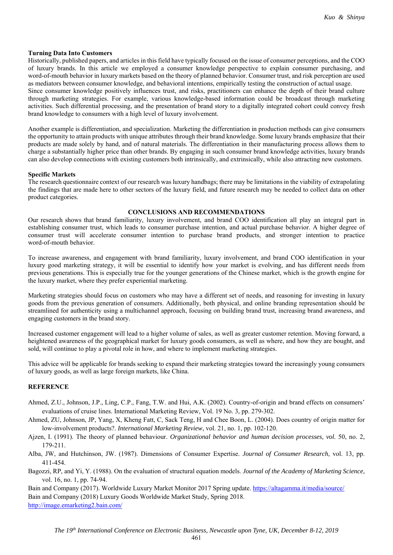### **Turning Data Into Customers**

Historically, published papers, and articles in this field have typically focused on the issue of consumer perceptions, and the COO of luxury brands. In this article we employed a consumer knowledge perspective to explain consumer purchasing, and word-of-mouth behavior in luxury markets based on the theory of planned behavior. Consumer trust, and risk perception are used as mediators between consumer knowledge, and behavioral intentions, empirically testing the construction of actual usage.

Since consumer knowledge positively influences trust, and risks, practitioners can enhance the depth of their brand culture through marketing strategies. For example, various knowledge-based information could be broadcast through marketing activities. Such differential processing, and the presentation of brand story to a digitally integrated cohort could convey fresh brand knowledge to consumers with a high level of luxury involvement.

Another example is differentiation, and specialization. Marketing the differentiation in production methods can give consumers the opportunity to attain products with unique attributes through their brand knowledge. Some luxury brands emphasize that their products are made solely by hand, and of natural materials. The differentiation in their manufacturing process allows them to charge a substantially higher price than other brands. By engaging in such consumer brand knowledge activities, luxury brands can also develop connections with existing customers both intrinsically, and extrinsically, while also attracting new customers.

#### **Specific Markets**

The research questionnaire context of our research was luxury handbags; there may be limitations in the viability of extrapolating the findings that are made here to other sectors of the luxury field, and future research may be needed to collect data on other product categories.

### **CONCLUSIONS AND RECOMMENDATIONS**

Our research shows that brand familiarity, luxury involvement, and brand COO identification all play an integral part in establishing consumer trust, which leads to consumer purchase intention, and actual purchase behavior. A higher degree of consumer trust will accelerate consumer intention to purchase brand products, and stronger intention to practice word-of-mouth behavior.

To increase awareness, and engagement with brand familiarity, luxury involvement, and brand COO identification in your luxury good marketing strategy, it will be essential to identify how your market is evolving, and has different needs from previous generations. This is especially true for the younger generations of the Chinese market, which is the growth engine for the luxury market, where they prefer experiential marketing.

Marketing strategies should focus on customers who may have a different set of needs, and reasoning for investing in luxury goods from the previous generation of consumers. Additionally, both physical, and online branding representation should be streamlined for authenticity using a multichannel approach, focusing on building brand trust, increasing brand awareness, and engaging customers in the brand story.

Increased customer engagement will lead to a higher volume of sales, as well as greater customer retention. Moving forward, a heightened awareness of the geographical market for luxury goods consumers, as well as where, and how they are bought, and sold, will continue to play a pivotal role in how, and where to implement marketing strategies.

This advice will be applicable for brands seeking to expand their marketing strategies toward the increasingly young consumers of luxury goods, as well as large foreign markets, like China.

# **REFERENCE**

- Ahmed, Z.U., Johnson, J.P., Ling, C.P., Fang, T.W. and Hui, A.K. (2002). Country-of-origin and brand effects on consumers' evaluations of cruise lines. International Marketing Review, Vol. 19 No. 3, pp. 279-302.
- Ahmed, ZU, Johnson, JP, Yang, X, Kheng Fatt, C, Sack Teng, H and Chee Boon, L. (2004). Does country of origin matter for low-involvement products?. *International Marketing Review*, vol. 21, no. 1, pp. 102-120.
- Ajzen, I. (1991). The theory of planned behaviour. *Organizational behavior and human decision processes, vol.* 50, no. 2, 179-211.
- Alba, JW, and Hutchinson, JW. (1987). Dimensions of Consumer Expertise. *Journal of Consumer Research*, vol. 13, pp. 411-454.
- Bagozzi, RP, and Yi, Y. (1988). On the evaluation of structural equation models. *Journal of the Academy of Marketing Science*, vol. 16, no. 1, pp. 74-94.

Bain and Company (2017). Worldwide Luxury Market Monitor 2017 Spring update. https://altagamma.it/media/source/ Bain and Company (2018) Luxury Goods Worldwide Market Study, Spring 2018. http://image.emarketing2.bain.com/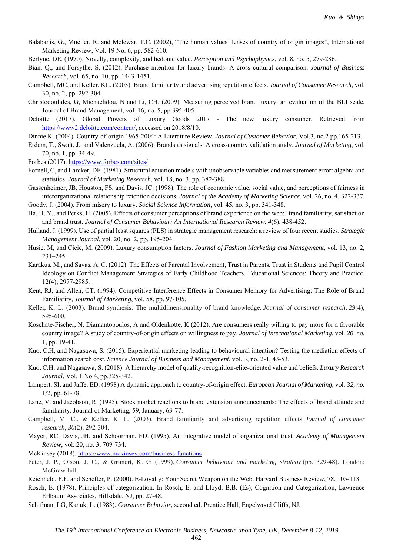- Balabanis, G., Mueller, R. and Melewar, T.C. (2002), "The human values' lenses of country of origin images", International Marketing Review, Vol. 19 No. 6, pp. 582-610.
- Berlyne, DE. (1970). Novelty, complexity, and hedonic value. *Perception and Psychophysics*, vol. 8, no. 5, 279-286.
- Bian, Q., and Forsythe, S. (2012). Purchase intention for luxury brands: A cross cultural comparison. *Journal of Business Research*, vol. 65, no. 10, pp. 1443-1451.
- Campbell, MC, and Keller, KL. (2003). Brand familiarity and advertising repetition effects. *Journal of Consumer Research*, vol. 30, no. 2, pp. 292-304.
- Christodoulides, G, Michaelidou, N and Li, CH. (2009). Measuring perceived brand luxury: an evaluation of the BLI scale, Journal of Brand Management, vol. 16, no. 5, pp.395-405.
- Deloitte (2017). Global Powers of Luxury Goods 2017 The new luxury consumer. Retrieved from https://www2.deloitte.com/content/, accessed on 2018/8/10.
- Dinnie K. (2004). Country-of-origin 1965-2004: A Literature Review. *Journal of Customer Behavior*, Vol.3, no.2 pp.165-213.
- Erdem, T., Swait, J., and Valenzuela, A. (2006). Brands as signals: A cross-country validation study. *Journal of Marketing*, vol. 70, no. 1, pp. 34-49.
- Forbes (2017). https://www.forbes.com/sites/
- Fornell, C, and Larcker, DF. (1981). Structural equation models with unobservable variables and measurement error: algebra and statistics. *Journal of Marketing Research*, vol. 18, no. 3, pp. 382-388.
- Gassenheimer, JB, Houston, FS, and Davis, JC. (1998). The role of economic value, social value, and perceptions of fairness in interorganizational relationship retention decisions. *Journal of the Academy of Marketing Science*, vol. 26, no. 4, 322-337. Goody, J. (2004). From misery to luxury. *Social Science Information*, vol. 45, no. 3, pp. 341-348.
- Ha, H. Y., and Perks, H. (2005). Effects of consumer perceptions of brand experience on the web: Brand familiarity, satisfaction and brand trust. *Journal of Consumer Behaviour: An International Research Review*, *4*(6), 438-452.
- Hulland, J. (1999). Use of partial least squares (PLS) in strategic management research: a review of four recent studies. *Strategic Management Journal*, vol. 20, no. 2, pp. 195-204.
- Husic, M, and Cicic, M. (2009). Luxury consumption factors. *Journal of Fashion Marketing and Management*, vol. 13, no. 2, 231–245.
- Karakus, M., and Savas, A. C. (2012). The Effects of Parental Involvement, Trust in Parents, Trust in Students and Pupil Control Ideology on Conflict Management Strategies of Early Childhood Teachers. Educational Sciences: Theory and Practice, 12(4), 2977-2985.
- Kent, RJ, and Allen, CT. (1994). Competitive Interference Effects in Consumer Memory for Advertising: The Role of Brand Familiarity, *Journal of Marketing*, vol. 58, pp. 97-105.
- Keller, K. L. (2003). Brand synthesis: The multidimensionality of brand knowledge. *Journal of consumer research*, *29*(4), 595-600.
- Koschate-Fischer, N, Diamantopoulos, A and Oldenkotte, K (2012). Are consumers really willing to pay more for a favorable country image? A study of country-of-origin effects on willingness to pay. *Journal of International Marketing*, vol. *20, no.*  1, pp. 19-41.
- Kuo, C.H, and Nagasawa, S. (2015). Experiential marketing leading to behavioural intention? Testing the mediation effects of information search cost. *Science Journal of Business and Management*, vol. 3, no. 2-1, 43-53.
- Kuo, C.H, and Nagasawa, S. (2018). A hierarchy model of quality-recognition-elite-oriented value and beliefs. *Luxury Research Journal*, Vol. 1 No.4, pp.325-342.
- Lampert, SI, and Jaffe, ED. (1998) A dynamic approach to country-of-origin effect. *European Journal of Marketing*, vol. *32, no.*  1/2, pp. 61-78.
- Lane, V. and Jacobson, R. (1995). Stock market reactions to brand extension announcements: The effects of brand attitude and familiarity. Journal of Marketing, 59, January, 63-77.
- Campbell, M. C., & Keller, K. L. (2003). Brand familiarity and advertising repetition effects. *Journal of consumer research*, *30*(2), 292-304.
- Mayer, RC, Davis, JH, and Schoorman, FD. (1995). An integrative model of organizational trust. *Academy of Management Review*, vol. 20, no. 3, 709-734.
- McKinsey (2018). https://www.mckinsey.com/business-functions
- Peter, J. P., Olson, J. C., & Grunert, K. G. (1999). *Consumer behaviour and marketing strategy* (pp. 329-48). London: McGraw-hill.
- Reichheld, F.F. and Schefter, P. (2000). E-Loyalty: Your Secret Weapon on the Web. Harvard Business Review, 78, 105-113.
- Rosch, E. (1978). Principles of categorization. In Rosch, E. and Lloyd, B.B. (Es), Cognition and Categorization, Lawrence Erlbaum Associates, Hillsdale, NJ, pp. 27-48.
- Schifman, LG, Kanuk, L. (1983). *Consumer Behavior*, second ed. Prentice Hall, Engelwood Cliffs, NJ.